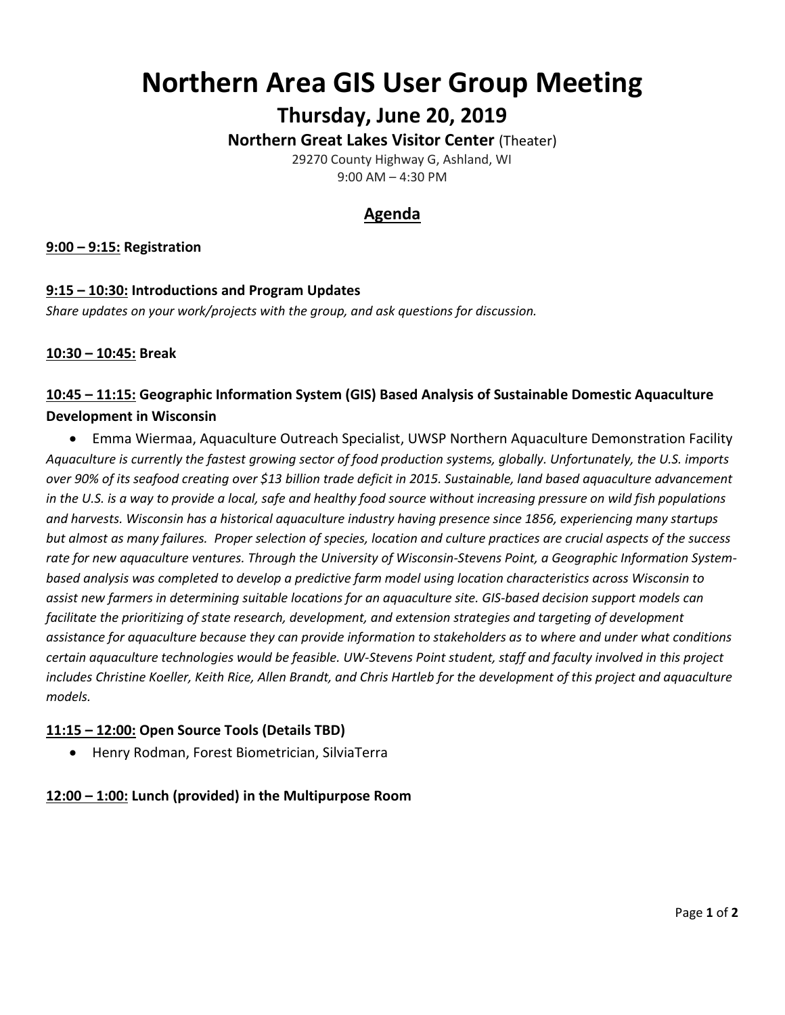# **Northern Area GIS User Group Meeting**

**Thursday, June 20, 2019**

**Northern Great Lakes Visitor Center** (Theater)

 29270 County Highway G, Ashland, WI 9:00 AM – 4:30 PM

## **Agenda**

**9:00 – 9:15: Registration**

## **9:15 – 10:30: Introductions and Program Updates** *Share updates on your work/projects with the group, and ask questions for discussion.*

#### **10:30 – 10:45: Break**

## **10:45 – 11:15: Geographic Information System (GIS) Based Analysis of Sustainable Domestic Aquaculture Development in Wisconsin**

• Emma Wiermaa, Aquaculture Outreach Specialist, UWSP Northern Aquaculture Demonstration Facility *Aquaculture is currently the fastest growing sector of food production systems, globally. Unfortunately, the U.S. imports over 90% of its seafood creating over \$13 billion trade deficit in 2015. Sustainable, land based aquaculture advancement in the U.S. is a way to provide a local, safe and healthy food source without increasing pressure on wild fish populations and harvests. Wisconsin has a historical aquaculture industry having presence since 1856, experiencing many startups but almost as many failures. Proper selection of species, location and culture practices are crucial aspects of the success rate for new aquaculture ventures. Through the University of Wisconsin-Stevens Point, a Geographic Information Systembased analysis was completed to develop a predictive farm model using location characteristics across Wisconsin to assist new farmers in determining suitable locations for an aquaculture site. GIS-based decision support models can facilitate the prioritizing of state research, development, and extension strategies and targeting of development assistance for aquaculture because they can provide information to stakeholders as to where and under what conditions certain aquaculture technologies would be feasible. UW-Stevens Point student, staff and faculty involved in this project includes Christine Koeller, Keith Rice, Allen Brandt, and Chris Hartleb for the development of this project and aquaculture models.*

#### **11:15 – 12:00: Open Source Tools (Details TBD)**

• Henry Rodman, Forest Biometrician, SilviaTerra

## **12:00 – 1:00: Lunch (provided) in the Multipurpose Room**